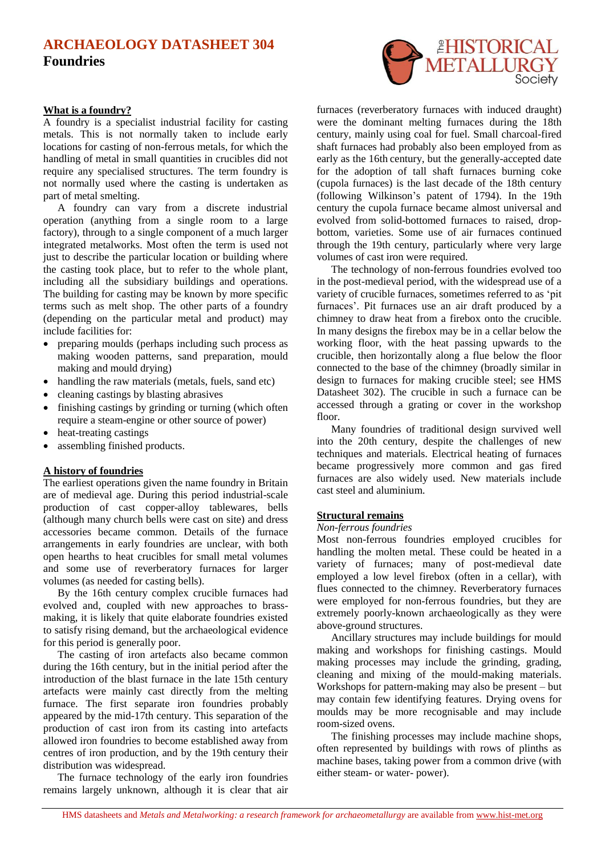# **ARCHAEOLOGY DATASHEET 304 Foundries**

### **What is a foundry?**

A foundry is a specialist industrial facility for casting metals. This is not normally taken to include early locations for casting of non-ferrous metals, for which the handling of metal in small quantities in crucibles did not require any specialised structures. The term foundry is not normally used where the casting is undertaken as part of metal smelting.

A foundry can vary from a discrete industrial operation (anything from a single room to a large factory), through to a single component of a much larger integrated metalworks. Most often the term is used not just to describe the particular location or building where the casting took place, but to refer to the whole plant, including all the subsidiary buildings and operations. The building for casting may be known by more specific terms such as melt shop. The other parts of a foundry (depending on the particular metal and product) may include facilities for:

- preparing moulds (perhaps including such process as making wooden patterns, sand preparation, mould making and mould drying)
- handling the raw materials (metals, fuels, sand etc)
- cleaning castings by blasting abrasives
- finishing castings by grinding or turning (which often require a steam-engine or other source of power)
- heat-treating castings
- assembling finished products.

## **A history of foundries**

The earliest operations given the name foundry in Britain are of medieval age. During this period industrial-scale production of cast copper-alloy tablewares, bells (although many church bells were cast on site) and dress accessories became common. Details of the furnace arrangements in early foundries are unclear, with both open hearths to heat crucibles for small metal volumes and some use of reverberatory furnaces for larger volumes (as needed for casting bells).

By the 16th century complex crucible furnaces had evolved and, coupled with new approaches to brassmaking, it is likely that quite elaborate foundries existed to satisfy rising demand, but the archaeological evidence for this period is generally poor.

The casting of iron artefacts also became common during the 16th century, but in the initial period after the introduction of the blast furnace in the late 15th century artefacts were mainly cast directly from the melting furnace. The first separate iron foundries probably appeared by the mid-17th century. This separation of the production of cast iron from its casting into artefacts allowed iron foundries to become established away from centres of iron production, and by the 19th century their distribution was widespread.

The furnace technology of the early iron foundries remains largely unknown, although it is clear that air



furnaces (reverberatory furnaces with induced draught) were the dominant melting furnaces during the 18th century, mainly using coal for fuel. Small charcoal-fired shaft furnaces had probably also been employed from as early as the 16th century, but the generally-accepted date for the adoption of tall shaft furnaces burning coke (cupola furnaces) is the last decade of the 18th century (following Wilkinson's patent of 1794). In the 19th century the cupola furnace became almost universal and evolved from solid-bottomed furnaces to raised, dropbottom, varieties. Some use of air furnaces continued through the 19th century, particularly where very large volumes of cast iron were required.

The technology of non-ferrous foundries evolved too in the post-medieval period, with the widespread use of a variety of crucible furnaces, sometimes referred to as 'pit furnaces'. Pit furnaces use an air draft produced by a chimney to draw heat from a firebox onto the crucible. In many designs the firebox may be in a cellar below the working floor, with the heat passing upwards to the crucible, then horizontally along a flue below the floor connected to the base of the chimney (broadly similar in design to furnaces for making crucible steel; see HMS Datasheet 302). The crucible in such a furnace can be accessed through a grating or cover in the workshop floor.

Many foundries of traditional design survived well into the 20th century, despite the challenges of new techniques and materials. Electrical heating of furnaces became progressively more common and gas fired furnaces are also widely used. New materials include cast steel and aluminium.

### **Structural remains**

#### *Non-ferrous foundries*

Most non-ferrous foundries employed crucibles for handling the molten metal. These could be heated in a variety of furnaces; many of post-medieval date employed a low level firebox (often in a cellar), with flues connected to the chimney. Reverberatory furnaces were employed for non-ferrous foundries, but they are extremely poorly-known archaeologically as they were above-ground structures.

Ancillary structures may include buildings for mould making and workshops for finishing castings. Mould making processes may include the grinding, grading, cleaning and mixing of the mould-making materials. Workshops for pattern-making may also be present – but may contain few identifying features. Drying ovens for moulds may be more recognisable and may include room-sized ovens.

The finishing processes may include machine shops, often represented by buildings with rows of plinths as machine bases, taking power from a common drive (with either steam- or water- power).